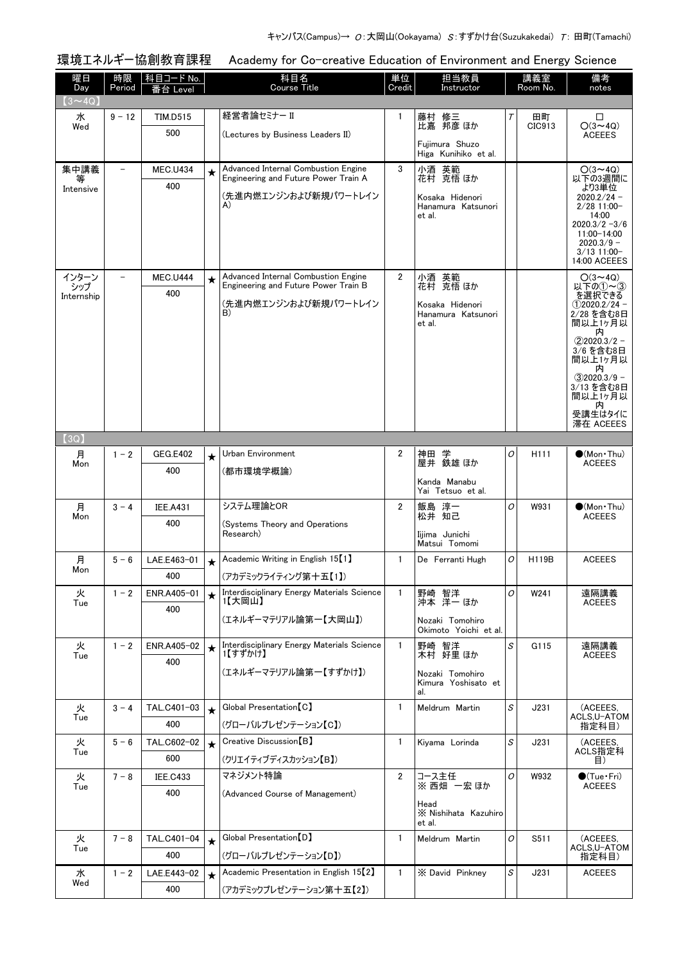| 環境エネルギー協創教育課程<br>Academy for Co-creative Education of Environment and Energy Science |              |                        |         |                                                                                                            |                |                                                                      |   |                  |                                                                                                                                                                                                                    |
|--------------------------------------------------------------------------------------|--------------|------------------------|---------|------------------------------------------------------------------------------------------------------------|----------------|----------------------------------------------------------------------|---|------------------|--------------------------------------------------------------------------------------------------------------------------------------------------------------------------------------------------------------------|
| 曜日<br>Day<br>$(3 \sim 4Q)$                                                           | 時限<br>Period | 科目コード No.<br>番台 Level  |         | 科目名<br><b>Course Title</b>                                                                                 | 単位<br>Credit   | 担当教員<br>Instructor                                                   |   | 講義室<br>Room No.  | 備考<br>notes                                                                                                                                                                                                        |
| 水<br>Wed                                                                             | $9 - 12$     | <b>TIM.D515</b><br>500 |         | 経営者論セミナー II<br>(Lectures by Business Leaders II)                                                           | 1              | 藤村 修三<br>比嘉 邦彦 ほか<br>Fujimura Shuzo<br>Higa Kunihiko et al.          | Т | 田町<br>CIC913     | □<br>$O(3 \sim 4Q)$<br><b>ACEEES</b>                                                                                                                                                                               |
| 集中講義<br>等<br>Intensive                                                               |              | <b>MEC.U434</b><br>400 | $\star$ | Advanced Internal Combustion Engine<br>Engineering and Future Power Train A<br>(先進内燃エンジンおよび新規パワートレイン<br>A) | 3              | 小酒 英範<br>花村 克悟 ほか<br>Kosaka Hidenori<br>Hanamura Katsunori<br>et al. |   |                  | $O(3 \sim 4Q)$<br>以下の3週間に<br>より3単位<br>$2020.2/24 -$<br>$2/28$ 11:00-<br>14:00<br>$2020.3/2 - 3/6$<br>11:00-14:00<br>$2020.3/9 -$<br>$3/13$ 11:00-<br>14:00 ACEEES                                                  |
| インターン<br>シップ<br>Internship                                                           |              | <b>MEC.U444</b><br>400 | $\star$ | Advanced Internal Combustion Engine<br>Engineering and Future Power Train B<br>(先進内燃エンジンおよび新規パワートレイン<br>B) | 2              | 小酒 英範<br>花村 克悟ほか<br>Kosaka Hidenori<br>Hanamura Katsunori<br>et al.  |   |                  | $O(3 \sim 4Q)$<br>以下の(1)~(3)<br>を選択できる<br>$(1)$ 2020.2/24 -<br>2/28 を含む8日<br>間以上1ヶ月以<br>内<br>$(2)2020.3/2 -$<br>3/6 を含む8日<br>間以上1ヶ月以<br>内<br>$(3)2020.3/9 -$<br>3/13 を含む8日<br>間以上1ヶ月以<br>内<br>受講生はタイに<br>滞在 ACEEES |
| (3Q)                                                                                 |              |                        |         |                                                                                                            |                |                                                                      |   |                  |                                                                                                                                                                                                                    |
| 月<br>Mon                                                                             | $1 - 2$      | <b>GEG.E402</b><br>400 | $\star$ | Urban Environment<br>(都市環境学概論)                                                                             | $\overline{2}$ | 神田 学<br>屋井 鉄雄ほか<br>Kanda Manabu<br>Yai Tetsuo et al.                 | 0 | H <sub>111</sub> | $\bullet$ (Mon•Thu)<br><b>ACEEES</b>                                                                                                                                                                               |
| 月<br>Mon                                                                             | $3 - 4$      | <b>IEE.A431</b><br>400 |         | システム理論とOR<br>(Systems Theory and Operations<br>Research)                                                   | $\overline{2}$ | 飯島 淳一<br>松井 知己<br>Iijima Junichi<br>Matsui Tomomi                    | 0 | W931             | $\bullet$ (Mon Thu)<br><b>ACEEES</b>                                                                                                                                                                               |
| 月<br>Mon                                                                             | $5 - 6$      | LAE.E463-01<br>400     |         | Academic Writing in English 15 <sup>[1]</sup><br>(アカデミックライティング第十五【1】)                                      | $\mathbf{1}$   | De Ferranti Hugh                                                     | 0 | H119B            | <b>ACEEES</b>                                                                                                                                                                                                      |
| 火<br>Tue                                                                             | $1 - 2$      | ENR.A405-01<br>400     | $\star$ | Interdisciplinary Energy Materials Science<br>1【大岡山】<br>(エネルギーマテリアル論第一【大岡山】)                               | $\mathbf{1}$   | 野崎 智洋<br>沖本 洋一 ほか<br>Nozaki Tomohiro<br>Okimoto Yoichi et al.        | 0 | W241             | 遠隔講義<br><b>ACEEES</b>                                                                                                                                                                                              |
| 火<br>Tue                                                                             | $1 - 2$      | ENR.A405-02<br>400     | $\star$ | Interdisciplinary Energy Materials Science<br>1【すずかけ】<br>(エネルギーマテリアル論第一【すずかけ】)                             | $\mathbf{1}$   | 野崎 智洋<br>木村 好里 ほか<br>Nozaki Tomohiro<br>Kimura Yoshisato et<br>al.   | S | G115             | 遠隔講義<br><b>ACEEES</b>                                                                                                                                                                                              |
| 火<br>Tue                                                                             | $3 - 4$      | TAL.C401-03<br>400     | $\star$ | Global Presentation [C]<br>(グローバルプレゼンテーション【C】)                                                             | $\mathbf{1}$   | Meldrum Martin                                                       | S | J231             | (ACEEES,<br>ACLS.U-ATOM<br>指定科目)                                                                                                                                                                                   |
| 火<br>Tue                                                                             | $5 - 6$      | TAL.C602-02<br>600     | $\star$ | Creative Discussion [B]<br>(クリエイティブディスカッション【B】)                                                            | $\mathbf{1}$   | Kiyama Lorinda                                                       | S | J231             | (ACEEES,<br>ACLS指定科<br>目)                                                                                                                                                                                          |
| 火<br>Tue                                                                             | $7 - 8$      | <b>IEE.C433</b><br>400 |         | マネジメント特論<br>(Advanced Course of Management)                                                                | $\overline{2}$ | コース主任<br>※ 西畑 一宏 ほか<br>Head<br>X Nishihata Kazuhiro<br>et al.        | 0 | W932             | $\bullet$ (Tue•Fri)<br><b>ACEEES</b>                                                                                                                                                                               |
| 火<br>Tue                                                                             | $7 - 8$      | TAL.C401-04<br>400     | $\star$ | Global Presentation [D]<br>(グローバルプレゼンテーション【D】)                                                             | $\mathbf{1}$   | Meldrum Martin                                                       | O | S511             | (ACEEES.<br>ACLS,U-ATOM<br>指定科目)                                                                                                                                                                                   |
| 水<br>Wed                                                                             | $1 - 2$      | LAE.E443-02<br>400     | $\star$ | Academic Presentation in English 15 <sup>[2]</sup><br>(アカデミックプレゼンテーション第十五【2】)                              | $\mathbf{1}$   | X David Pinkney                                                      | S | J231             | <b>ACEEES</b>                                                                                                                                                                                                      |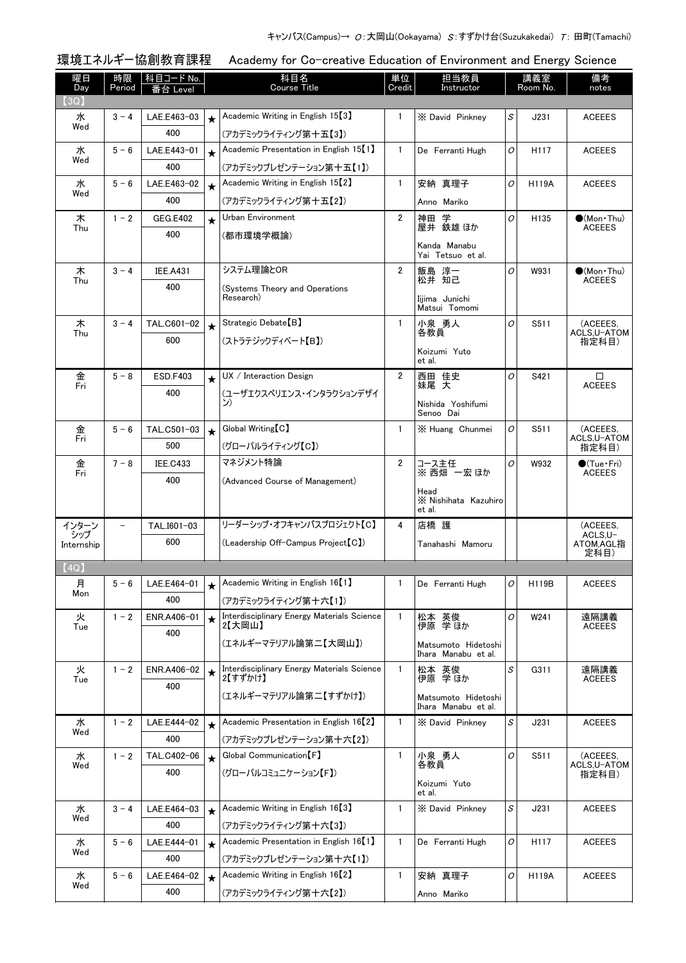| 環境エネルギー | −協創教育課租 |  |
|---------|---------|--|
|         |         |  |

環境エネルギー協創教育課程 Academy for Co-creative Education of Environment and Energy Science

| 曜日<br>Day    | 時限<br>Period | 科目コード No.             |         | 科目名<br><b>Course Title</b>                            | 単位<br>Credit   | 担当教員<br>Instructor                         |                                                    | 講義室<br>Room No.  | 備考<br>notes                          |
|--------------|--------------|-----------------------|---------|-------------------------------------------------------|----------------|--------------------------------------------|----------------------------------------------------|------------------|--------------------------------------|
| 【3Q】         |              | Level                 |         |                                                       |                |                                            |                                                    |                  |                                      |
| 水            | $3 - 4$      | LAE.E463-03           | $\star$ | Academic Writing in English 15 <sup>[3]</sup>         | $\mathbf{1}$   | X David Pinkney                            | $\mathcal{S}% _{CS}^{(n)}:=\mathcal{S}_{CS}^{(n)}$ | J231             | <b>ACEEES</b>                        |
| Wed          |              | 400                   |         | (アカデミックライティング第十五【3】)                                  |                |                                            |                                                    |                  |                                      |
| 水            | $5 - 6$      | LAE.E443-01           | $\star$ | Academic Presentation in English 15 <sup>[1]</sup>    | $\mathbf{1}$   | De Ferranti Hugh                           | 0                                                  | H117             | <b>ACEEES</b>                        |
| Wed          |              | 400                   |         | (アカデミックプレゼンテーション第十五【1】)                               |                |                                            |                                                    |                  |                                      |
| 水            | $5 - 6$      | LAE.E463-02           | $\star$ | Academic Writing in English 15 <sup>[2]</sup>         | $\mathbf{1}$   | 安納 真理子                                     | O                                                  | <b>H119A</b>     | <b>ACEEES</b>                        |
| Wed          |              | 400                   |         | (アカデミックライティング第十五【2】)                                  |                | Anno Mariko                                |                                                    |                  |                                      |
| 木            | $1 - 2$      | <b>GEG.E402</b>       | $\star$ | Urban Environment                                     | $\overline{2}$ | 学<br>神田<br>屋井 鉄雄 ほか                        | O                                                  | H <sub>135</sub> | $\bullet$ (Mon Thu)<br><b>ACEEES</b> |
| Thu          |              | 400                   |         | (都市環境学概論)                                             |                |                                            |                                                    |                  |                                      |
|              |              |                       |         |                                                       |                | Kanda Manabu<br>Yai Tetsuo et al.          |                                                    |                  |                                      |
| 木            | $3 - 4$      | <b>IEE.A431</b>       |         | システム理論とOR                                             | 2              | 飯島 淳一                                      | O                                                  | W931             | $\bullet$ (Mon Thu)                  |
| Thu          |              | 400                   |         | (Systems Theory and Operations                        |                | 松井 知己                                      |                                                    |                  | <b>ACEEES</b>                        |
|              |              |                       |         | Research)                                             |                | Iijima Junichi<br>Matsui Tomomi            |                                                    |                  |                                      |
| 木            | $3 - 4$      | TAL.C601-02           | $\star$ | Strategic Debate [B]                                  | $\mathbf{1}$   | 小泉 勇人                                      | O                                                  | S511             | (ACEEES.                             |
| Thu          |              | 600                   |         | (ストラテジックディベート【B】)                                     |                | 各教員                                        |                                                    |                  | ACLS,U-ATOM<br>指定科目)                 |
|              |              |                       |         |                                                       |                | Koizumi Yuto<br>et al.                     |                                                    |                  |                                      |
| 金            | $5 - 8$      | <b>ESD.F403</b>       | $\star$ | UX / Interator                                        | $\overline{2}$ | 西田 佳史                                      | $\overline{O}$                                     | S421             | □                                    |
| Fri          |              | 400                   |         | (ユーザエクスペリエンス・インタラクションデザイ                              |                | 妹尾 大                                       |                                                    |                  | <b>ACEEES</b>                        |
|              |              |                       |         | ン)                                                    |                | Nishida Yoshifumi<br>Senoo Dai             |                                                    |                  |                                      |
| 金            | $5 - 6$      | TAL.C501-03           | $\star$ | Global Writing [C]                                    | $\mathbf{1}$   | X Huang Chunmei                            | O                                                  | S511             | (ACEEES,                             |
| Fri          |              | 500                   |         | (グローバルライティング【C】)                                      |                |                                            |                                                    |                  | ACLS,U-ATOM<br>指定科目)                 |
| 金            | $7 - 8$      | <b>IEE.C433</b>       |         | マネジメント特論                                              | $\overline{2}$ | コース主任                                      | 0                                                  | W932             | $\bullet$ (Tue•Fri)                  |
| Fri          |              | 400                   |         | (Advanced Course of Management)                       |                | ※西畑 一宏ほか                                   |                                                    |                  | <b>ACEEES</b>                        |
|              |              |                       |         |                                                       |                | Head<br>X Nishihata Kazuhiro               |                                                    |                  |                                      |
|              |              |                       |         |                                                       |                | et al.                                     |                                                    |                  |                                      |
| インターン<br>シップ |              | TAL.I601-03           |         | リーダーシップ・オフキャンパスプロジェクト【C】                              | 4              | 店橋 護                                       |                                                    |                  | (ACEEES,<br>ACLS.U-                  |
| Internship   |              | 600                   |         | (Leadership Off-Campus Project [C])                   |                | Tanahashi Mamoru                           |                                                    |                  | ATOM,AGL指<br>定科目)                    |
| (4Q)         |              |                       |         |                                                       |                |                                            |                                                    |                  |                                      |
| 月            |              | $5 - 6$   LAE.E464-01 |         | Academic Writing in English 16 <sup>[1]</sup>         |                | De Ferranti Hugh                           | o                                                  | H119B            | <b>ACEEES</b>                        |
| Mon          |              | 400                   |         | (アカデミックライティング第十六【1】)                                  |                |                                            |                                                    |                  |                                      |
| 火<br>Tue     | $1 - 2$      | ENR.A406-01           |         | Interdisciplinary Energy Materials Science<br>2【大岡山】  | $\mathbf{1}$   | 松本 英俊<br>伊原 学ほか                            | 0                                                  | W241             | 遠隔講義<br><b>ACEEES</b>                |
|              |              | 400                   |         | (エネルギーマテリアル論第二【大岡山】)                                  |                |                                            |                                                    |                  |                                      |
|              |              |                       |         |                                                       |                | Matsumoto Hidetoshi<br>Ihara Manabu et al. |                                                    |                  |                                      |
| 火            | $1 - 2$      | ENR.A406-02           | $\star$ | Interdisciplinary Energy Materials Science<br>2【すずかけ】 | $\mathbf{1}$   | 松本 英俊<br>伊原 学ほか                            | S                                                  | G311             | 遠隔講義<br><b>ACEEES</b>                |
| Tue          |              | 400                   |         | (エネルギーマテリアル論第二【すずかけ】)                                 |                |                                            |                                                    |                  |                                      |
|              |              |                       |         |                                                       |                | Matsumoto Hidetoshi<br>Ihara Manabu et al. |                                                    |                  |                                      |
| 水            | $1 - 2$      | LAE.E444-02           | $\star$ | Academic Presentation in English 16 <sup>[2]</sup>    | $\mathbf{1}$   | X David Pinknev                            | S                                                  | J231             | <b>ACEEES</b>                        |
| Wed          |              | 400                   |         | (アカデミックプレゼンテーション第十六【2】)                               |                |                                            |                                                    |                  |                                      |
| 水<br>Wed     | $1 - 2$      | TAL.C402-06           | $\star$ | Global Communication [F]                              | $\mathbf{1}$   | 小泉 勇人<br>各教員                               | O                                                  | S511             | (ACEEES.<br>ACLS, U-ATOM             |
|              |              | 400                   |         | (グローバルコミュニケーション【F】)                                   |                | Koizumi Yuto                               |                                                    |                  | 指定科目)                                |
|              |              |                       |         |                                                       |                | et al.                                     |                                                    |                  |                                      |
| 水            | $3 - 4$      | LAE.E464-03           | $\star$ | Academic Writing in English 16 <sup>[3]</sup>         | $\mathbf{1}$   | X David Pinkney                            | S                                                  | J231             | <b>ACEEES</b>                        |
| Wed          |              | 400                   |         | (アカデミックライティング第十六【3】)                                  |                |                                            |                                                    |                  |                                      |
| 水            | $5 - 6$      | LAE.E444-01           | $\star$ | Academic Presentation in English 16 <sup>[1]</sup>    | $\mathbf{1}$   | De Ferranti Hugh                           | $\mathcal{O}$                                      | H117             | <b>ACEEES</b>                        |
| Wed          |              | 400                   |         | (アカデミックプレゼンテーション第十六【1】)                               |                |                                            |                                                    |                  |                                      |
| 水<br>Wed     | $5 - 6$      | LAE.E464-02           | $\star$ | Academic Writing in English 16 <sup>[2]</sup>         | $\mathbf{1}$   | 安納 真理子                                     | O                                                  | <b>H119A</b>     | <b>ACEEES</b>                        |
|              |              | 400                   |         | (アカデミックライティング第十六【2】)                                  |                | Anno Mariko                                |                                                    |                  |                                      |